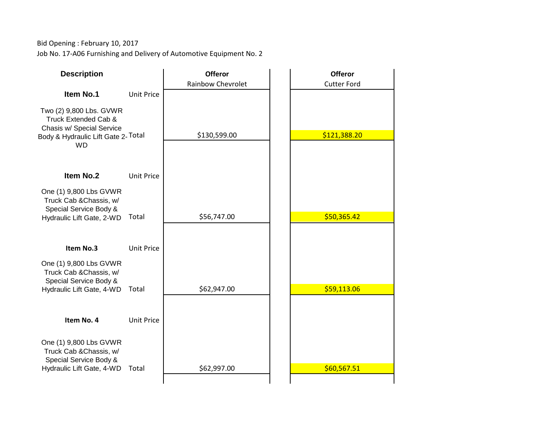Bid Opening : February 10, 2017 Job No. 17-A06 Furnishing and Delivery of Automotive Equipment No. 2

| <b>Description</b>                                                                                                              |                   | <b>Offeror</b><br><b>Rainbow Chevrolet</b> | <b>Offeror</b><br><b>Cutter Ford</b> |
|---------------------------------------------------------------------------------------------------------------------------------|-------------------|--------------------------------------------|--------------------------------------|
| Item No.1                                                                                                                       | <b>Unit Price</b> |                                            |                                      |
| Two (2) 9,800 Lbs. GVWR<br>Truck Extended Cab &<br>Chasis w/ Special Service<br>Body & Hydraulic Lift Gate 2-Total<br><b>WD</b> |                   | \$130,599.00                               | \$121,388.20                         |
| Item No.2                                                                                                                       | <b>Unit Price</b> |                                            |                                      |
| One (1) 9,800 Lbs GVWR<br>Truck Cab & Chassis, w/<br>Special Service Body &<br>Hydraulic Lift Gate, 2-WD                        | Total             | \$56,747.00                                | \$50,365.42                          |
| Item No.3                                                                                                                       | <b>Unit Price</b> |                                            |                                      |
| One (1) 9,800 Lbs GVWR<br>Truck Cab & Chassis, w/<br>Special Service Body &<br>Hydraulic Lift Gate, 4-WD                        | Total             | \$62,947.00                                | \$59,113.06                          |
| Item No. 4                                                                                                                      | <b>Unit Price</b> |                                            |                                      |
| One (1) 9,800 Lbs GVWR<br>Truck Cab & Chassis, w/<br>Special Service Body &<br>Hydraulic Lift Gate, 4-WD                        | Total             | \$62,997.00                                | \$60,567.51                          |
|                                                                                                                                 |                   |                                            |                                      |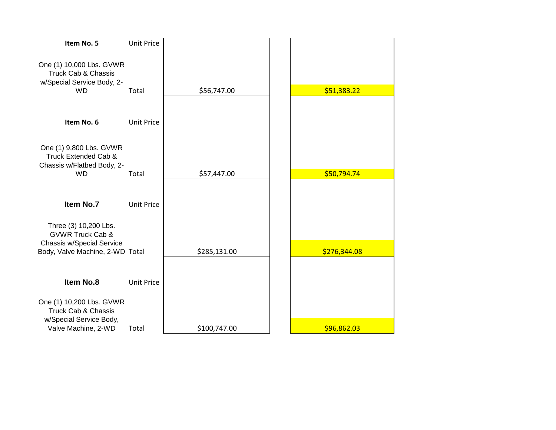| Item No. 5                                                                               | Unit Price        |              |              |
|------------------------------------------------------------------------------------------|-------------------|--------------|--------------|
| One (1) 10,000 Lbs. GVWR<br>Truck Cab & Chassis<br>w/Special Service Body, 2-            |                   |              |              |
| <b>WD</b>                                                                                | Total             | \$56,747.00  | \$51,383.22  |
|                                                                                          |                   |              |              |
| Item No. 6                                                                               | <b>Unit Price</b> |              |              |
|                                                                                          |                   |              |              |
| One (1) 9,800 Lbs. GVWR<br>Truck Extended Cab &<br>Chassis w/Flatbed Body, 2-            |                   |              |              |
| <b>WD</b>                                                                                | Total             | \$57,447.00  | \$50,794.74  |
|                                                                                          |                   |              |              |
| Item No.7                                                                                | <b>Unit Price</b> |              |              |
| Three (3) 10,200 Lbs.<br><b>GVWR Truck Cab &amp;</b><br><b>Chassis w/Special Service</b> |                   |              |              |
| Body, Valve Machine, 2-WD Total                                                          |                   | \$285,131.00 | \$276,344.08 |
|                                                                                          |                   |              |              |
| Item No.8                                                                                | <b>Unit Price</b> |              |              |
| One (1) 10,200 Lbs. GVWR<br><b>Truck Cab &amp; Chassis</b>                               |                   |              |              |
| w/Special Service Body,<br>Valve Machine, 2-WD                                           | Total             | \$100,747.00 | \$96,862.03  |